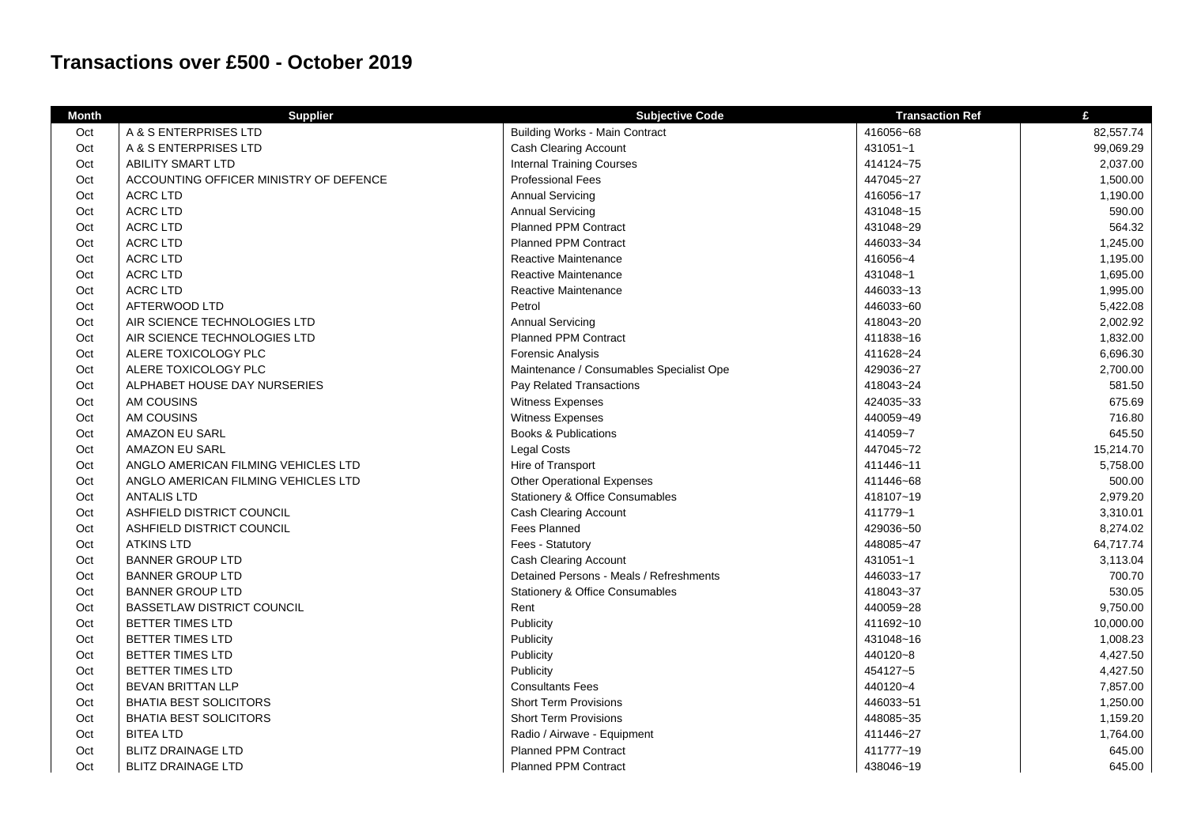## **Transactions over £500 - October 2019**

| <b>Month</b> | <b>Supplier</b>                        | <b>Subjective Code</b>                     | <b>Transaction Ref</b> | £         |
|--------------|----------------------------------------|--------------------------------------------|------------------------|-----------|
| Oct          | A & S ENTERPRISES LTD                  | <b>Building Works - Main Contract</b>      | 416056~68              | 82,557.74 |
| Oct          | A & S ENTERPRISES LTD                  | <b>Cash Clearing Account</b>               | 431051~1               | 99,069.29 |
| Oct          | <b>ABILITY SMART LTD</b>               | <b>Internal Training Courses</b>           | 414124~75              | 2,037.00  |
| Oct          | ACCOUNTING OFFICER MINISTRY OF DEFENCE | <b>Professional Fees</b>                   | 447045~27              | 1,500.00  |
| Oct          | <b>ACRC LTD</b>                        | <b>Annual Servicing</b>                    | 416056~17              | 1,190.00  |
| Oct          | <b>ACRC LTD</b>                        | <b>Annual Servicing</b>                    | 431048~15              | 590.00    |
| Oct          | <b>ACRC LTD</b>                        | <b>Planned PPM Contract</b>                | 431048~29              | 564.32    |
| Oct          | <b>ACRC LTD</b>                        | <b>Planned PPM Contract</b>                | 446033~34              | 1,245.00  |
| Oct          | <b>ACRC LTD</b>                        | Reactive Maintenance                       | 416056~4               | 1,195.00  |
| Oct          | <b>ACRC LTD</b>                        | Reactive Maintenance                       | 431048~1               | 1,695.00  |
| Oct          | <b>ACRC LTD</b>                        | Reactive Maintenance                       | 446033~13              | 1,995.00  |
| Oct          | AFTERWOOD LTD                          | Petrol                                     | 446033~60              | 5,422.08  |
| Oct          | AIR SCIENCE TECHNOLOGIES LTD           | <b>Annual Servicing</b>                    | 418043~20              | 2,002.92  |
| Oct          | AIR SCIENCE TECHNOLOGIES LTD           | <b>Planned PPM Contract</b>                | 411838~16              | 1,832.00  |
| Oct          | ALERE TOXICOLOGY PLC                   | Forensic Analysis                          | 411628~24              | 6,696.30  |
| Oct          | ALERE TOXICOLOGY PLC                   | Maintenance / Consumables Specialist Ope   | 429036~27              | 2,700.00  |
| Oct          | ALPHABET HOUSE DAY NURSERIES           | Pay Related Transactions                   | 418043~24              | 581.50    |
| Oct          | AM COUSINS                             | Witness Expenses                           | 424035~33              | 675.69    |
| Oct          | AM COUSINS                             | Witness Expenses                           | 440059~49              | 716.80    |
| Oct          | AMAZON EU SARL                         | <b>Books &amp; Publications</b>            | 414059~7               | 645.50    |
| Oct          | <b>AMAZON EU SARL</b>                  | <b>Legal Costs</b>                         | 447045~72              | 15,214.70 |
| Oct          | ANGLO AMERICAN FILMING VEHICLES LTD    | Hire of Transport                          | 411446~11              | 5,758.00  |
| Oct          | ANGLO AMERICAN FILMING VEHICLES LTD    | <b>Other Operational Expenses</b>          | 411446~68              | 500.00    |
| Oct          | <b>ANTALIS LTD</b>                     | <b>Stationery &amp; Office Consumables</b> | 418107~19              | 2,979.20  |
| Oct          | ASHFIELD DISTRICT COUNCIL              | <b>Cash Clearing Account</b>               | 411779~1               | 3,310.01  |
| Oct          | ASHFIELD DISTRICT COUNCIL              | Fees Planned                               | 429036~50              | 8,274.02  |
| Oct          | <b>ATKINS LTD</b>                      | Fees - Statutory                           | 448085~47              | 64,717.74 |
| Oct          | <b>BANNER GROUP LTD</b>                | <b>Cash Clearing Account</b>               | 431051~1               | 3,113.04  |
| Oct          | <b>BANNER GROUP LTD</b>                | Detained Persons - Meals / Refreshments    | 446033~17              | 700.70    |
| Oct          | <b>BANNER GROUP LTD</b>                | <b>Stationery &amp; Office Consumables</b> | 418043~37              | 530.05    |
| Oct          | <b>BASSETLAW DISTRICT COUNCIL</b>      | Rent                                       | 440059~28              | 9,750.00  |
| Oct          | BETTER TIMES LTD                       | Publicity                                  | 411692~10              | 10,000.00 |
| Oct          | BETTER TIMES LTD                       | Publicity                                  | 431048~16              | 1,008.23  |
| Oct          | BETTER TIMES LTD                       | Publicity                                  | 440120~8               | 4,427.50  |
| Oct          | BETTER TIMES LTD                       | Publicity                                  | 454127~5               | 4,427.50  |
| Oct          | BEVAN BRITTAN LLP                      | <b>Consultants Fees</b>                    | 440120~4               | 7,857.00  |
| Oct          | <b>BHATIA BEST SOLICITORS</b>          | <b>Short Term Provisions</b>               | 446033~51              | 1,250.00  |
| Oct          | <b>BHATIA BEST SOLICITORS</b>          | <b>Short Term Provisions</b>               | 448085~35              | 1,159.20  |
| Oct          | <b>BITEA LTD</b>                       | Radio / Airwave - Equipment                | 411446~27              | 1,764.00  |
| Oct          | <b>BLITZ DRAINAGE LTD</b>              | <b>Planned PPM Contract</b>                | 411777~19              | 645.00    |
| Oct          | <b>BLITZ DRAINAGE LTD</b>              | <b>Planned PPM Contract</b>                | 438046~19              | 645.00    |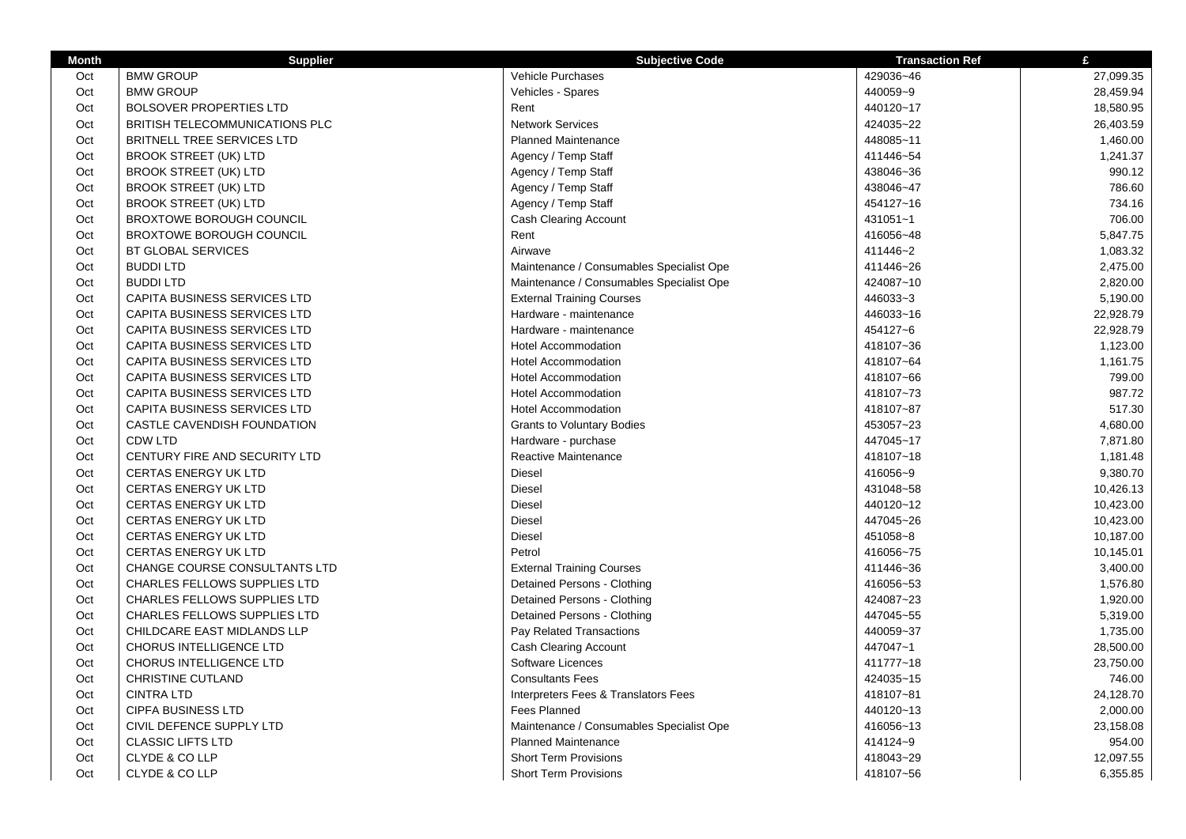| <b>Month</b> | <b>Supplier</b>                     | <b>Subjective Code</b>                   | <b>Transaction Ref</b> | £         |
|--------------|-------------------------------------|------------------------------------------|------------------------|-----------|
| Oct          | <b>BMW GROUP</b>                    | Vehicle Purchases                        | 429036~46              | 27,099.35 |
| Oct          | <b>BMW GROUP</b>                    | Vehicles - Spares                        | 440059~9               | 28,459.94 |
| Oct          | <b>BOLSOVER PROPERTIES LTD</b>      | Rent                                     | 440120~17              | 18,580.95 |
| Oct          | BRITISH TELECOMMUNICATIONS PLC      | <b>Network Services</b>                  | 424035~22              | 26,403.59 |
| Oct          | BRITNELL TREE SERVICES LTD          | <b>Planned Maintenance</b>               | 448085~11              | 1,460.00  |
| Oct          | <b>BROOK STREET (UK) LTD</b>        | Agency / Temp Staff                      | 411446~54              | 1,241.37  |
| Oct          | <b>BROOK STREET (UK) LTD</b>        | Agency / Temp Staff                      | 438046~36              | 990.12    |
| Oct          | <b>BROOK STREET (UK) LTD</b>        | Agency / Temp Staff                      | 438046~47              | 786.60    |
| Oct          | <b>BROOK STREET (UK) LTD</b>        | Agency / Temp Staff                      | 454127~16              | 734.16    |
| Oct          | <b>BROXTOWE BOROUGH COUNCIL</b>     | <b>Cash Clearing Account</b>             | 431051~1               | 706.00    |
| Oct          | <b>BROXTOWE BOROUGH COUNCIL</b>     | Rent                                     | 416056~48              | 5,847.75  |
| Oct          | <b>BT GLOBAL SERVICES</b>           | Airwave                                  | 411446~2               | 1,083.32  |
| Oct          | <b>BUDDILTD</b>                     | Maintenance / Consumables Specialist Ope | 411446~26              | 2,475.00  |
| Oct          | <b>BUDDILTD</b>                     | Maintenance / Consumables Specialist Ope | 424087~10              | 2,820.00  |
| Oct          | CAPITA BUSINESS SERVICES LTD        | <b>External Training Courses</b>         | 446033~3               | 5,190.00  |
| Oct          | CAPITA BUSINESS SERVICES LTD        | Hardware - maintenance                   | 446033~16              | 22,928.79 |
| Oct          | CAPITA BUSINESS SERVICES LTD        | Hardware - maintenance                   | 454127~6               | 22,928.79 |
| Oct          | CAPITA BUSINESS SERVICES LTD        | <b>Hotel Accommodation</b>               | 418107~36              | 1,123.00  |
| Oct          | CAPITA BUSINESS SERVICES LTD        | <b>Hotel Accommodation</b>               | 418107~64              | 1,161.75  |
| Oct          | CAPITA BUSINESS SERVICES LTD        | <b>Hotel Accommodation</b>               | 418107~66              | 799.00    |
| Oct          | CAPITA BUSINESS SERVICES LTD        | <b>Hotel Accommodation</b>               | 418107~73              | 987.72    |
| Oct          | CAPITA BUSINESS SERVICES LTD        | <b>Hotel Accommodation</b>               | 418107~87              | 517.30    |
| Oct          | CASTLE CAVENDISH FOUNDATION         | <b>Grants to Voluntary Bodies</b>        | 453057~23              | 4,680.00  |
| Oct          | <b>CDW LTD</b>                      | Hardware - purchase                      | 447045~17              | 7,871.80  |
| Oct          | CENTURY FIRE AND SECURITY LTD       | Reactive Maintenance                     | 418107~18              | 1,181.48  |
| Oct          | <b>CERTAS ENERGY UK LTD</b>         | <b>Diesel</b>                            | 416056~9               | 9,380.70  |
| Oct          | <b>CERTAS ENERGY UK LTD</b>         | Diesel                                   | 431048~58              | 10,426.13 |
| Oct          | <b>CERTAS ENERGY UK LTD</b>         | Diesel                                   | 440120~12              | 10,423.00 |
| Oct          | <b>CERTAS ENERGY UK LTD</b>         | Diesel                                   | 447045~26              | 10,423.00 |
| Oct          | <b>CERTAS ENERGY UK LTD</b>         | Diesel                                   | 451058~8               | 10,187.00 |
| Oct          | <b>CERTAS ENERGY UK LTD</b>         | Petrol                                   | 416056~75              | 10,145.01 |
| Oct          | CHANGE COURSE CONSULTANTS LTD       | <b>External Training Courses</b>         | 411446~36              | 3,400.00  |
| Oct          | <b>CHARLES FELLOWS SUPPLIES LTD</b> | Detained Persons - Clothing              | 416056~53              | 1,576.80  |
| Oct          | CHARLES FELLOWS SUPPLIES LTD        | Detained Persons - Clothing              | 424087~23              | 1,920.00  |
| Oct          | <b>CHARLES FELLOWS SUPPLIES LTD</b> | Detained Persons - Clothing              | 447045~55              | 5,319.00  |
| Oct          | CHILDCARE EAST MIDLANDS LLP         | Pay Related Transactions                 | 440059~37              | 1,735.00  |
| Oct          | <b>CHORUS INTELLIGENCE LTD</b>      | <b>Cash Clearing Account</b>             | 447047~1               | 28,500.00 |
| Oct          | <b>CHORUS INTELLIGENCE LTD</b>      | Software Licences                        | 411777~18              | 23,750.00 |
| Oct          | <b>CHRISTINE CUTLAND</b>            | <b>Consultants Fees</b>                  | 424035~15              | 746.00    |
| Oct          | <b>CINTRA LTD</b>                   | Interpreters Fees & Translators Fees     | 418107~81              | 24,128.70 |
| Oct          | <b>CIPFA BUSINESS LTD</b>           | <b>Fees Planned</b>                      | 440120~13              | 2,000.00  |
| Oct          | CIVIL DEFENCE SUPPLY LTD            | Maintenance / Consumables Specialist Ope | 416056~13              | 23,158.08 |
| Oct          | <b>CLASSIC LIFTS LTD</b>            | <b>Planned Maintenance</b>               | 414124~9               | 954.00    |
| Oct          | CLYDE & CO LLP                      | <b>Short Term Provisions</b>             | 418043~29              | 12,097.55 |
| Oct          | CLYDE & CO LLP                      | <b>Short Term Provisions</b>             | 418107~56              | 6,355.85  |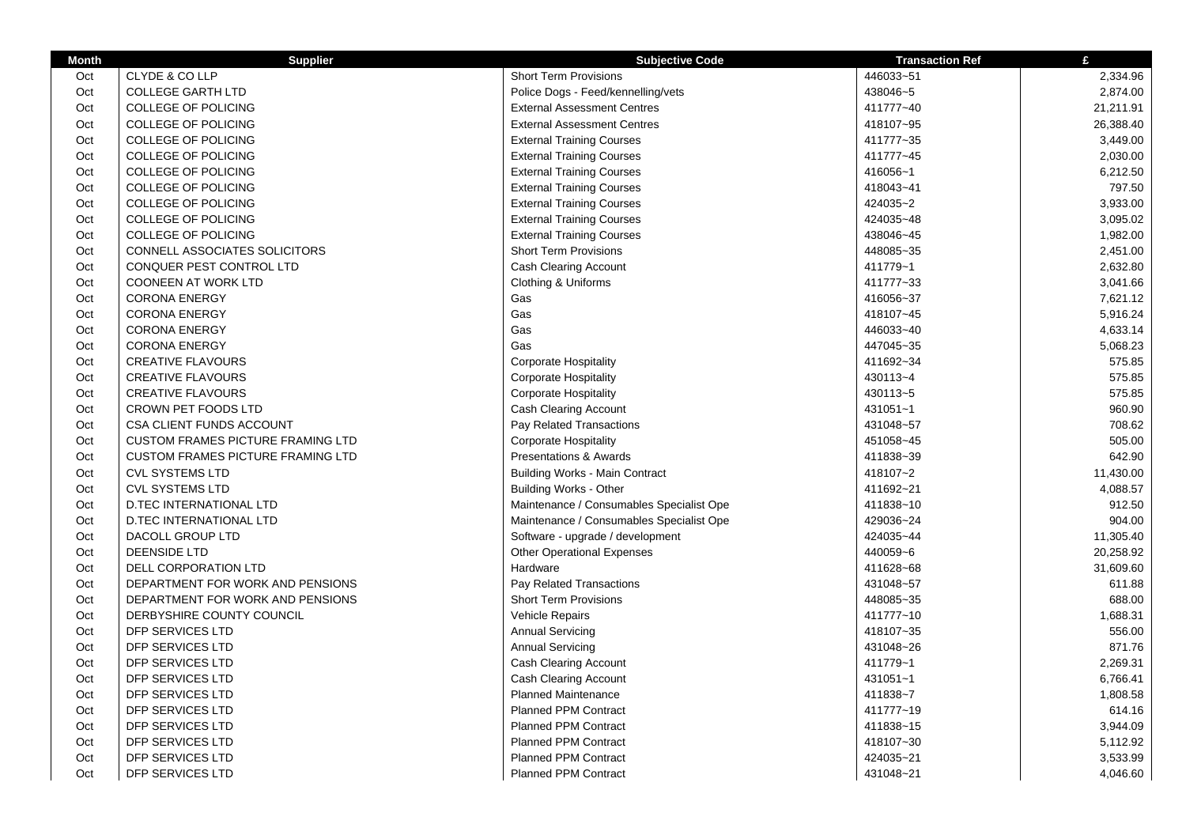| <b>Month</b> | <b>Supplier</b>                          | <b>Subjective Code</b>                   | <b>Transaction Ref</b> | £         |
|--------------|------------------------------------------|------------------------------------------|------------------------|-----------|
| Oct          | CLYDE & CO LLP                           | <b>Short Term Provisions</b>             | 446033~51              | 2,334.96  |
| Oct          | <b>COLLEGE GARTH LTD</b>                 | Police Dogs - Feed/kennelling/vets       | 438046~5               | 2,874.00  |
| Oct          | <b>COLLEGE OF POLICING</b>               | <b>External Assessment Centres</b>       | 411777~40              | 21,211.91 |
| Oct          | <b>COLLEGE OF POLICING</b>               | <b>External Assessment Centres</b>       | 418107~95              | 26,388.40 |
| Oct          | <b>COLLEGE OF POLICING</b>               | <b>External Training Courses</b>         | 411777~35              | 3,449.00  |
| Oct          | <b>COLLEGE OF POLICING</b>               | <b>External Training Courses</b>         | 411777~45              | 2,030.00  |
| Oct          | <b>COLLEGE OF POLICING</b>               | <b>External Training Courses</b>         | 416056~1               | 6,212.50  |
| Oct          | COLLEGE OF POLICING                      | <b>External Training Courses</b>         | 418043~41              | 797.50    |
| Oct          | <b>COLLEGE OF POLICING</b>               | <b>External Training Courses</b>         | 424035~2               | 3,933.00  |
| Oct          | COLLEGE OF POLICING                      | <b>External Training Courses</b>         | 424035~48              | 3,095.02  |
| Oct          | <b>COLLEGE OF POLICING</b>               | <b>External Training Courses</b>         | 438046~45              | 1,982.00  |
| Oct          | <b>CONNELL ASSOCIATES SOLICITORS</b>     | <b>Short Term Provisions</b>             | 448085~35              | 2,451.00  |
| Oct          | CONQUER PEST CONTROL LTD                 | Cash Clearing Account                    | 411779~1               | 2,632.80  |
| Oct          | <b>COONEEN AT WORK LTD</b>               | Clothing & Uniforms                      | 411777~33              | 3,041.66  |
| Oct          | <b>CORONA ENERGY</b>                     | Gas                                      | 416056~37              | 7,621.12  |
| Oct          | <b>CORONA ENERGY</b>                     | Gas                                      | 418107~45              | 5,916.24  |
| Oct          | <b>CORONA ENERGY</b>                     | Gas                                      | 446033~40              | 4,633.14  |
| Oct          | <b>CORONA ENERGY</b>                     | Gas                                      | 447045~35              | 5,068.23  |
| Oct          | <b>CREATIVE FLAVOURS</b>                 | <b>Corporate Hospitality</b>             | 411692~34              | 575.85    |
| Oct          | <b>CREATIVE FLAVOURS</b>                 | <b>Corporate Hospitality</b>             | 430113~4               | 575.85    |
| Oct          | <b>CREATIVE FLAVOURS</b>                 | <b>Corporate Hospitality</b>             | 430113~5               | 575.85    |
| Oct          | <b>CROWN PET FOODS LTD</b>               | Cash Clearing Account                    | 431051~1               | 960.90    |
| Oct          | CSA CLIENT FUNDS ACCOUNT                 | Pay Related Transactions                 | 431048~57              | 708.62    |
| Oct          | <b>CUSTOM FRAMES PICTURE FRAMING LTD</b> | <b>Corporate Hospitality</b>             | 451058~45              | 505.00    |
| Oct          | <b>CUSTOM FRAMES PICTURE FRAMING LTD</b> | <b>Presentations &amp; Awards</b>        | 411838~39              | 642.90    |
| Oct          | <b>CVL SYSTEMS LTD</b>                   | <b>Building Works - Main Contract</b>    | 418107~2               | 11,430.00 |
| Oct          | <b>CVL SYSTEMS LTD</b>                   | <b>Building Works - Other</b>            | 411692~21              | 4,088.57  |
| Oct          | <b>D.TEC INTERNATIONAL LTD</b>           | Maintenance / Consumables Specialist Ope | 411838~10              | 912.50    |
| Oct          | <b>D.TEC INTERNATIONAL LTD</b>           | Maintenance / Consumables Specialist Ope | 429036~24              | 904.00    |
| Oct          | DACOLL GROUP LTD                         | Software - upgrade / development         | 424035~44              | 11,305.40 |
| Oct          | <b>DEENSIDE LTD</b>                      | <b>Other Operational Expenses</b>        | 440059~6               | 20,258.92 |
| Oct          | DELL CORPORATION LTD                     | Hardware                                 | 411628~68              | 31,609.60 |
| Oct          | DEPARTMENT FOR WORK AND PENSIONS         | Pay Related Transactions                 | 431048~57              | 611.88    |
| Oct          | DEPARTMENT FOR WORK AND PENSIONS         | <b>Short Term Provisions</b>             | 448085~35              | 688.00    |
| Oct          | DERBYSHIRE COUNTY COUNCIL                | Vehicle Repairs                          | 411777~10              | 1,688.31  |
| Oct          | DFP SERVICES LTD                         | <b>Annual Servicing</b>                  | 418107~35              | 556.00    |
| Oct          | DFP SERVICES LTD                         | <b>Annual Servicing</b>                  | 431048~26              | 871.76    |
| Oct          | DFP SERVICES LTD                         | <b>Cash Clearing Account</b>             | 411779~1               | 2,269.31  |
| Oct          | DFP SERVICES LTD                         | <b>Cash Clearing Account</b>             | 431051~1               | 6,766.41  |
| Oct          | DFP SERVICES LTD                         | <b>Planned Maintenance</b>               | 411838~7               | 1,808.58  |
| Oct          | DFP SERVICES LTD                         | <b>Planned PPM Contract</b>              | 411777~19              | 614.16    |
| Oct          | DFP SERVICES LTD                         | Planned PPM Contract                     | 411838~15              | 3,944.09  |
| Oct          | DFP SERVICES LTD                         | <b>Planned PPM Contract</b>              | 418107~30              | 5,112.92  |
| Oct          | DFP SERVICES LTD                         | <b>Planned PPM Contract</b>              | 424035~21              | 3,533.99  |
| Oct          | DFP SERVICES LTD                         | <b>Planned PPM Contract</b>              | 431048~21              | 4,046.60  |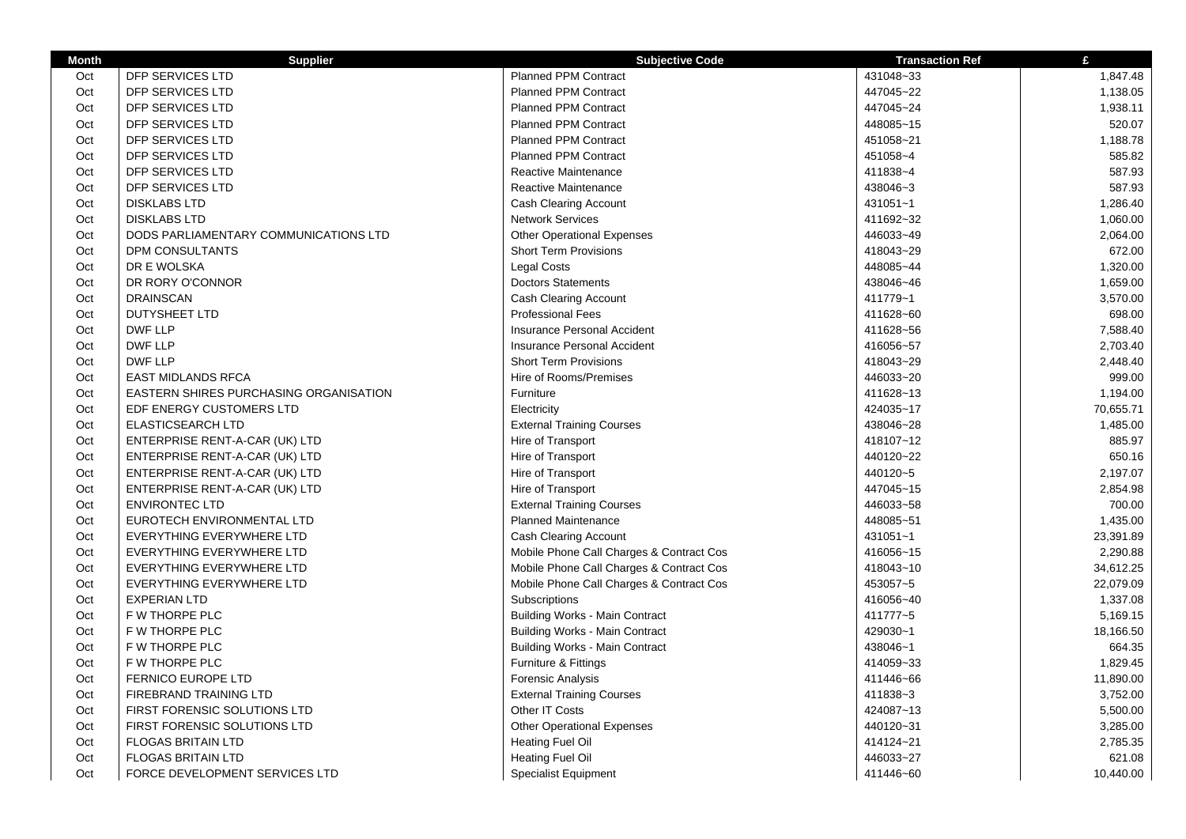| <b>Month</b> | <b>Supplier</b>                               | <b>Subjective Code</b>                   | <b>Transaction Ref</b> | £         |
|--------------|-----------------------------------------------|------------------------------------------|------------------------|-----------|
| Oct          | <b>DFP SERVICES LTD</b>                       | <b>Planned PPM Contract</b>              | 431048~33              | 1,847.48  |
| Oct          | DFP SERVICES LTD                              | <b>Planned PPM Contract</b>              | 447045~22              | 1,138.05  |
| Oct          | DFP SERVICES LTD                              | <b>Planned PPM Contract</b>              | 447045~24              | 1,938.11  |
| Oct          | DFP SERVICES LTD                              | <b>Planned PPM Contract</b>              | 448085~15              | 520.07    |
| Oct          | DFP SERVICES LTD                              | <b>Planned PPM Contract</b>              | 451058~21              | 1,188.78  |
| Oct          | DFP SERVICES LTD                              | <b>Planned PPM Contract</b>              | 451058~4               | 585.82    |
| Oct          | DFP SERVICES LTD                              | <b>Reactive Maintenance</b>              | 411838~4               | 587.93    |
| Oct          | DFP SERVICES LTD                              | <b>Reactive Maintenance</b>              | 438046~3               | 587.93    |
| Oct          | <b>DISKLABS LTD</b>                           | <b>Cash Clearing Account</b>             | 431051~1               | 1,286.40  |
| Oct          | <b>DISKLABS LTD</b>                           | <b>Network Services</b>                  | 411692~32              | 1,060.00  |
| Oct          | DODS PARLIAMENTARY COMMUNICATIONS LTD         | <b>Other Operational Expenses</b>        | 446033~49              | 2,064.00  |
| Oct          | DPM CONSULTANTS                               | <b>Short Term Provisions</b>             | 418043~29              | 672.00    |
| Oct          | DR E WOLSKA                                   | <b>Legal Costs</b>                       | 448085~44              | 1,320.00  |
| Oct          | DR RORY O'CONNOR                              | <b>Doctors Statements</b>                | 438046~46              | 1,659.00  |
| Oct          | <b>DRAINSCAN</b>                              | <b>Cash Clearing Account</b>             | 411779~1               | 3,570.00  |
| Oct          | <b>DUTYSHEET LTD</b>                          | <b>Professional Fees</b>                 | 411628~60              | 698.00    |
| Oct          | <b>DWF LLP</b>                                | Insurance Personal Accident              | 411628~56              | 7,588.40  |
| Oct          | <b>DWF LLP</b>                                | Insurance Personal Accident              | 416056~57              | 2,703.40  |
| Oct          | <b>DWF LLP</b>                                | <b>Short Term Provisions</b>             | 418043~29              | 2,448.40  |
| Oct          | <b>EAST MIDLANDS RFCA</b>                     | Hire of Rooms/Premises                   | 446033~20              | 999.00    |
| Oct          | <b>EASTERN SHIRES PURCHASING ORGANISATION</b> | Furniture                                | 411628~13              | 1,194.00  |
| Oct          | EDF ENERGY CUSTOMERS LTD                      | Electricity                              | 424035~17              | 70,655.71 |
| Oct          | <b>ELASTICSEARCH LTD</b>                      | <b>External Training Courses</b>         | 438046~28              | 1,485.00  |
| Oct          | ENTERPRISE RENT-A-CAR (UK) LTD                | Hire of Transport                        | 418107~12              | 885.97    |
| Oct          | ENTERPRISE RENT-A-CAR (UK) LTD                | Hire of Transport                        | 440120~22              | 650.16    |
| Oct          | ENTERPRISE RENT-A-CAR (UK) LTD                | Hire of Transport                        | 440120~5               | 2,197.07  |
| Oct          | ENTERPRISE RENT-A-CAR (UK) LTD                | Hire of Transport                        | 447045~15              | 2,854.98  |
| Oct          | <b>ENVIRONTEC LTD</b>                         | <b>External Training Courses</b>         | 446033~58              | 700.00    |
| Oct          | EUROTECH ENVIRONMENTAL LTD                    | <b>Planned Maintenance</b>               | 448085~51              | 1,435.00  |
| Oct          | EVERYTHING EVERYWHERE LTD                     | <b>Cash Clearing Account</b>             | 431051~1               | 23,391.89 |
| Oct          | EVERYTHING EVERYWHERE LTD                     | Mobile Phone Call Charges & Contract Cos | 416056~15              | 2,290.88  |
| Oct          | EVERYTHING EVERYWHERE LTD                     | Mobile Phone Call Charges & Contract Cos | 418043~10              | 34,612.25 |
| Oct          | EVERYTHING EVERYWHERE LTD                     | Mobile Phone Call Charges & Contract Cos | 453057~5               | 22,079.09 |
| Oct          | <b>EXPERIAN LTD</b>                           | Subscriptions                            | 416056~40              | 1,337.08  |
| Oct          | F W THORPE PLC                                | <b>Building Works - Main Contract</b>    | 411777~5               | 5,169.15  |
| Oct          | F W THORPE PLC                                | <b>Building Works - Main Contract</b>    | 429030~1               | 18,166.50 |
| Oct          | F W THORPE PLC                                | <b>Building Works - Main Contract</b>    | 438046~1               | 664.35    |
| Oct          | F W THORPE PLC                                | Furniture & Fittings                     | 414059~33              | 1,829.45  |
| Oct          | <b>FERNICO EUROPE LTD</b>                     | Forensic Analysis                        | 411446~66              | 11,890.00 |
| Oct          | FIREBRAND TRAINING LTD                        | <b>External Training Courses</b>         | 411838~3               | 3,752.00  |
| Oct          | FIRST FORENSIC SOLUTIONS LTD                  | Other IT Costs                           | 424087~13              | 5,500.00  |
| Oct          | FIRST FORENSIC SOLUTIONS LTD                  | <b>Other Operational Expenses</b>        | 440120~31              | 3,285.00  |
| Oct          | <b>FLOGAS BRITAIN LTD</b>                     | Heating Fuel Oil                         | 414124~21              | 2,785.35  |
| Oct          | <b>FLOGAS BRITAIN LTD</b>                     | <b>Heating Fuel Oil</b>                  | 446033~27              | 621.08    |
| Oct          | FORCE DEVELOPMENT SERVICES LTD                | <b>Specialist Equipment</b>              | 411446~60              | 10,440.00 |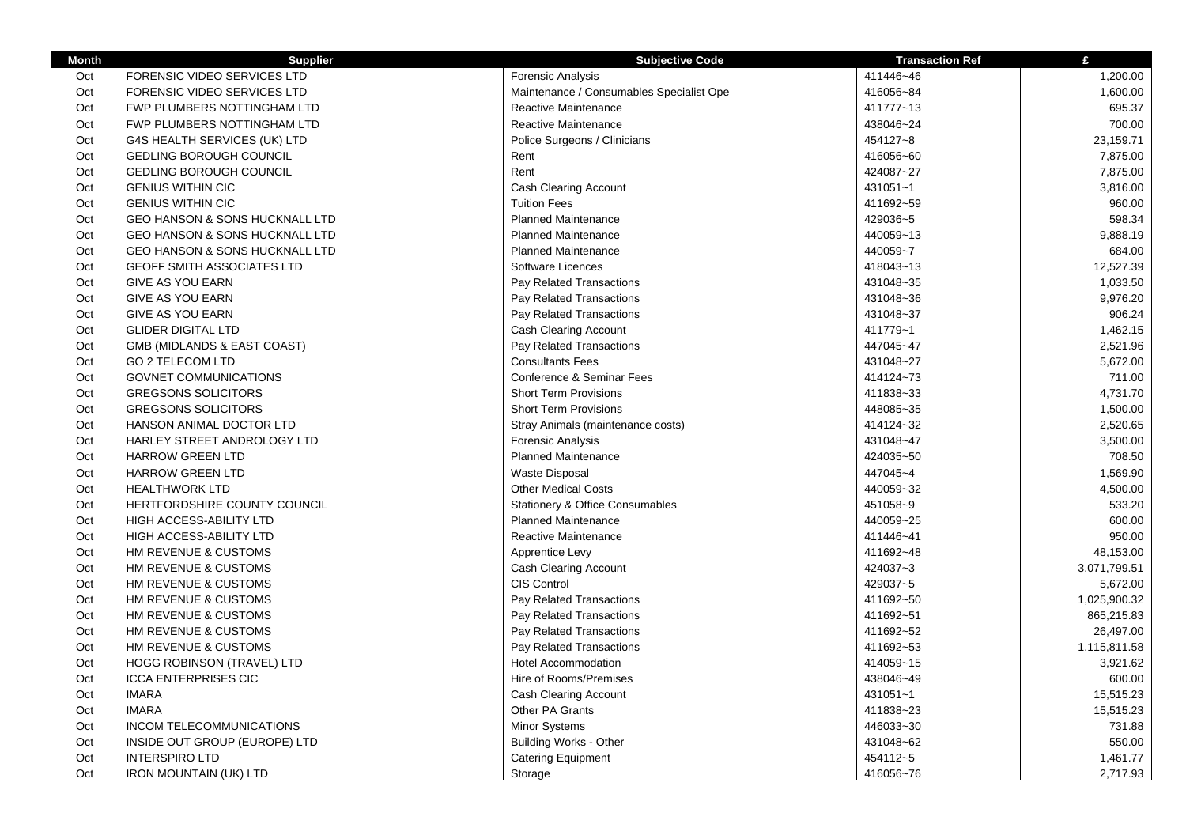| <b>Month</b> | <b>Supplier</b>                           | <b>Subjective Code</b>                   | <b>Transaction Ref</b> | £            |
|--------------|-------------------------------------------|------------------------------------------|------------------------|--------------|
| Oct          | FORENSIC VIDEO SERVICES LTD               | Forensic Analysis                        | 411446~46              | 1,200.00     |
| Oct          | FORENSIC VIDEO SERVICES LTD               | Maintenance / Consumables Specialist Ope | 416056~84              | 1,600.00     |
| Oct          | FWP PLUMBERS NOTTINGHAM LTD               | Reactive Maintenance                     | 411777~13              | 695.37       |
| Oct          | FWP PLUMBERS NOTTINGHAM LTD               | Reactive Maintenance                     | 438046~24              | 700.00       |
| Oct          | G4S HEALTH SERVICES (UK) LTD              | Police Surgeons / Clinicians             | 454127~8               | 23,159.71    |
| Oct          | <b>GEDLING BOROUGH COUNCIL</b>            | Rent                                     | 416056~60              | 7,875.00     |
| Oct          | <b>GEDLING BOROUGH COUNCIL</b>            | Rent                                     | 424087~27              | 7,875.00     |
| Oct          | <b>GENIUS WITHIN CIC</b>                  | <b>Cash Clearing Account</b>             | 431051~1               | 3,816.00     |
| Oct          | <b>GENIUS WITHIN CIC</b>                  | <b>Tuition Fees</b>                      | 411692~59              | 960.00       |
| Oct          | <b>GEO HANSON &amp; SONS HUCKNALL LTD</b> | <b>Planned Maintenance</b>               | 429036~5               | 598.34       |
| Oct          | <b>GEO HANSON &amp; SONS HUCKNALL LTD</b> | <b>Planned Maintenance</b>               | 440059~13              | 9,888.19     |
| Oct          | <b>GEO HANSON &amp; SONS HUCKNALL LTD</b> | <b>Planned Maintenance</b>               | 440059~7               | 684.00       |
| Oct          | <b>GEOFF SMITH ASSOCIATES LTD</b>         | Software Licences                        | 418043~13              | 12,527.39    |
| Oct          | <b>GIVE AS YOU EARN</b>                   | Pay Related Transactions                 | 431048~35              | 1,033.50     |
| Oct          | <b>GIVE AS YOU EARN</b>                   | Pay Related Transactions                 | 431048~36              | 9,976.20     |
| Oct          | <b>GIVE AS YOU EARN</b>                   | Pay Related Transactions                 | 431048~37              | 906.24       |
| Oct          | <b>GLIDER DIGITAL LTD</b>                 | Cash Clearing Account                    | 411779~1               | 1,462.15     |
| Oct          | GMB (MIDLANDS & EAST COAST)               | Pay Related Transactions                 | 447045~47              | 2,521.96     |
| Oct          | <b>GO 2 TELECOM LTD</b>                   | <b>Consultants Fees</b>                  | 431048~27              | 5,672.00     |
| Oct          | <b>GOVNET COMMUNICATIONS</b>              | Conference & Seminar Fees                | 414124~73              | 711.00       |
| Oct          | <b>GREGSONS SOLICITORS</b>                | <b>Short Term Provisions</b>             | 411838~33              | 4,731.70     |
| Oct          | <b>GREGSONS SOLICITORS</b>                | <b>Short Term Provisions</b>             | 448085~35              | 1,500.00     |
| Oct          | HANSON ANIMAL DOCTOR LTD                  | Stray Animals (maintenance costs)        | 414124~32              | 2,520.65     |
| Oct          | HARLEY STREET ANDROLOGY LTD               | <b>Forensic Analysis</b>                 | 431048~47              | 3,500.00     |
| Oct          | <b>HARROW GREEN LTD</b>                   | <b>Planned Maintenance</b>               | 424035~50              | 708.50       |
| Oct          | <b>HARROW GREEN LTD</b>                   | <b>Waste Disposal</b>                    | 447045~4               | 1,569.90     |
| Oct          | <b>HEALTHWORK LTD</b>                     | <b>Other Medical Costs</b>               | 440059~32              | 4,500.00     |
| Oct          | HERTFORDSHIRE COUNTY COUNCIL              | Stationery & Office Consumables          | 451058~9               | 533.20       |
| Oct          | HIGH ACCESS-ABILITY LTD                   | <b>Planned Maintenance</b>               | 440059~25              | 600.00       |
| Oct          | HIGH ACCESS-ABILITY LTD                   | Reactive Maintenance                     | 411446~41              | 950.00       |
| Oct          | HM REVENUE & CUSTOMS                      | Apprentice Levy                          | 411692~48              | 48,153.00    |
| Oct          | HM REVENUE & CUSTOMS                      | Cash Clearing Account                    | 424037~3               | 3,071,799.51 |
| Oct          | HM REVENUE & CUSTOMS                      | <b>CIS Control</b>                       | 429037~5               | 5,672.00     |
| Oct          | HM REVENUE & CUSTOMS                      | Pay Related Transactions                 | 411692~50              | 1,025,900.32 |
| Oct          | HM REVENUE & CUSTOMS                      | Pay Related Transactions                 | 411692~51              | 865,215.83   |
| Oct          | HM REVENUE & CUSTOMS                      | Pay Related Transactions                 | 411692~52              | 26,497.00    |
| Oct          | HM REVENUE & CUSTOMS                      | Pay Related Transactions                 | 411692~53              | 1,115,811.58 |
| Oct          | <b>HOGG ROBINSON (TRAVEL) LTD</b>         | <b>Hotel Accommodation</b>               | 414059~15              | 3,921.62     |
| Oct          | <b>ICCA ENTERPRISES CIC</b>               | Hire of Rooms/Premises                   | 438046~49              | 600.00       |
| Oct          | <b>IMARA</b>                              | <b>Cash Clearing Account</b>             | 431051~1               | 15,515.23    |
| Oct          | <b>IMARA</b>                              | Other PA Grants                          | 411838~23              | 15,515.23    |
| Oct          | INCOM TELECOMMUNICATIONS                  | Minor Systems                            | 446033~30              | 731.88       |
| Oct          | INSIDE OUT GROUP (EUROPE) LTD             | <b>Building Works - Other</b>            | 431048~62              | 550.00       |
| Oct          | <b>INTERSPIRO LTD</b>                     | <b>Catering Equipment</b>                | 454112~5               | 1,461.77     |
| Oct          | <b>IRON MOUNTAIN (UK) LTD</b>             | Storage                                  | 416056~76              | 2,717.93     |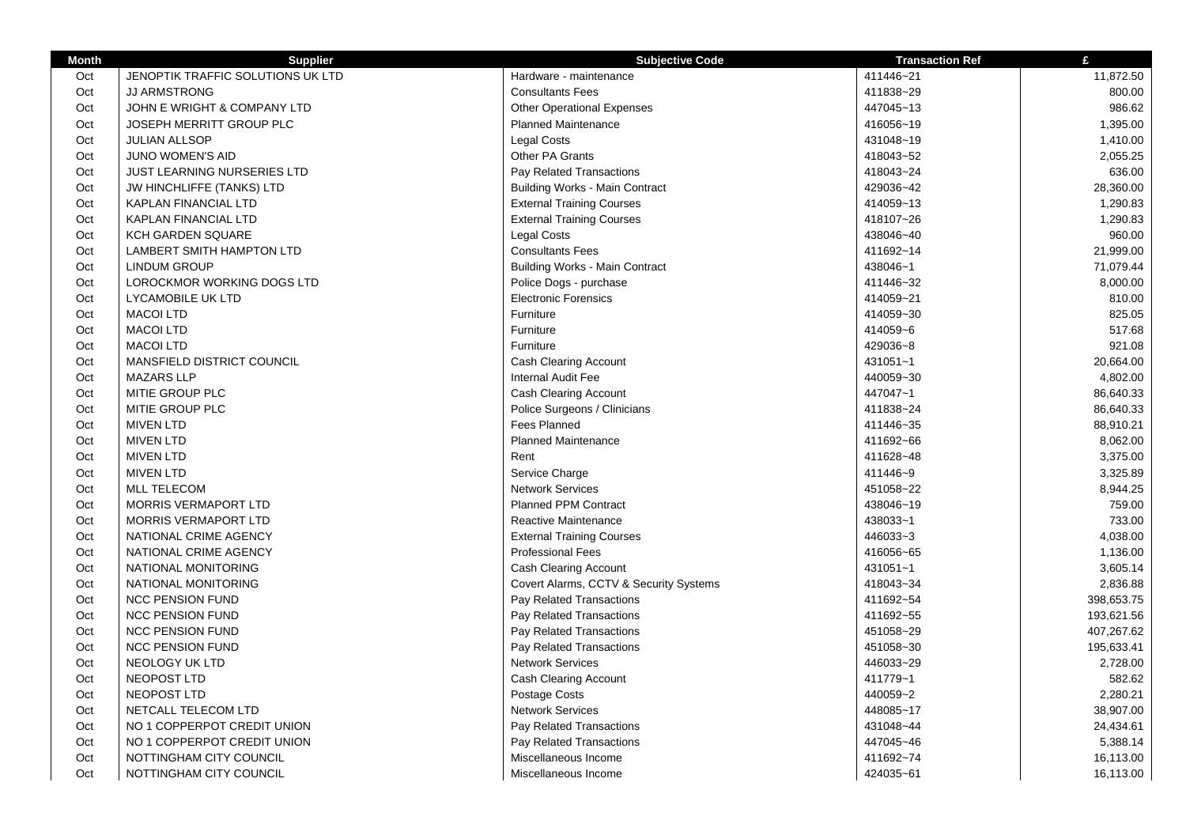| <b>Month</b> | <b>Supplier</b>                    | <b>Subjective Code</b>                              | <b>Transaction Ref</b> | £                      |
|--------------|------------------------------------|-----------------------------------------------------|------------------------|------------------------|
| Oct          | JENOPTIK TRAFFIC SOLUTIONS UK LTD  | Hardware - maintenance                              | 411446~21              | 11,872.50              |
| Oct          | <b>JJ ARMSTRONG</b>                | <b>Consultants Fees</b>                             | 411838~29              | 800.00                 |
| Oct          | JOHN E WRIGHT & COMPANY LTD        | <b>Other Operational Expenses</b>                   | 447045~13              | 986.62                 |
| Oct          | JOSEPH MERRITT GROUP PLC           | <b>Planned Maintenance</b>                          | 416056~19              | 1,395.00               |
| Oct          | <b>JULIAN ALLSOP</b>               | <b>Legal Costs</b>                                  | 431048~19              | 1,410.00               |
| Oct          | JUNO WOMEN'S AID                   | Other PA Grants                                     | 418043~52              | 2,055.25               |
| Oct          | <b>JUST LEARNING NURSERIES LTD</b> | Pay Related Transactions                            | 418043~24              | 636.00                 |
| Oct          | <b>JW HINCHLIFFE (TANKS) LTD</b>   | <b>Building Works - Main Contract</b>               | 429036~42              | 28,360.00              |
| Oct          | <b>KAPLAN FINANCIAL LTD</b>        | <b>External Training Courses</b>                    | 414059~13              | 1,290.83               |
| Oct          | <b>KAPLAN FINANCIAL LTD</b>        | <b>External Training Courses</b>                    | 418107~26              | 1,290.83               |
| Oct          | <b>KCH GARDEN SQUARE</b>           | Legal Costs                                         | 438046~40              | 960.00                 |
| Oct          | LAMBERT SMITH HAMPTON LTD          | <b>Consultants Fees</b>                             | 411692~14              | 21,999.00              |
| Oct          | <b>LINDUM GROUP</b>                | <b>Building Works - Main Contract</b>               | 438046~1               | 71,079.44              |
| Oct          | LOROCKMOR WORKING DOGS LTD         | Police Dogs - purchase                              | 411446~32              | 8,000.00               |
| Oct          | <b>LYCAMOBILE UK LTD</b>           | <b>Electronic Forensics</b>                         | 414059~21              | 810.00                 |
| Oct          | <b>MACOI LTD</b>                   | Furniture                                           | 414059~30              | 825.05                 |
| Oct          | <b>MACOI LTD</b>                   | Furniture                                           | 414059~6               | 517.68                 |
| Oct          | <b>MACOI LTD</b>                   | Furniture                                           | 429036~8               | 921.08                 |
| Oct          | MANSFIELD DISTRICT COUNCIL         | Cash Clearing Account                               | 431051~1               | 20,664.00              |
| Oct          | <b>MAZARS LLP</b>                  | <b>Internal Audit Fee</b>                           | 440059~30              | 4,802.00               |
| Oct          | MITIE GROUP PLC                    | <b>Cash Clearing Account</b>                        | 447047~1               | 86,640.33              |
| Oct          | MITIE GROUP PLC                    | Police Surgeons / Clinicians                        | 411838~24              | 86,640.33              |
| Oct          | <b>MIVEN LTD</b>                   | Fees Planned                                        | 411446~35              | 88,910.21              |
| Oct          | <b>MIVEN LTD</b>                   | <b>Planned Maintenance</b>                          | 411692~66              | 8,062.00               |
| Oct          | <b>MIVEN LTD</b>                   | Rent                                                | 411628~48              | 3,375.00               |
| Oct          | <b>MIVEN LTD</b>                   | Service Charge                                      | 411446~9               | 3,325.89               |
| Oct          | <b>MLL TELECOM</b>                 | <b>Network Services</b>                             | 451058~22              | 8,944.25               |
| Oct          | <b>MORRIS VERMAPORT LTD</b>        | <b>Planned PPM Contract</b>                         | 438046~19              | 759.00                 |
| Oct          | <b>MORRIS VERMAPORT LTD</b>        | Reactive Maintenance                                | 438033~1               | 733.00                 |
| Oct          | NATIONAL CRIME AGENCY              | <b>External Training Courses</b>                    | 446033~3               | 4,038.00               |
| Oct          | NATIONAL CRIME AGENCY              | <b>Professional Fees</b>                            | 416056~65              | 1,136.00               |
| Oct          | NATIONAL MONITORING                | Cash Clearing Account                               | 431051~1               | 3,605.14               |
| Oct          | NATIONAL MONITORING                | Covert Alarms, CCTV & Security Systems              | 418043~34              | 2,836.88               |
| Oct          | <b>NCC PENSION FUND</b>            | Pay Related Transactions                            | 411692~54              | 398,653.75             |
| Oct          | <b>NCC PENSION FUND</b>            | Pay Related Transactions                            | 411692~55              | 193,621.56             |
| Oct          | <b>NCC PENSION FUND</b>            |                                                     | 451058~29              | 407,267.62             |
| Oct          | <b>NCC PENSION FUND</b>            | Pay Related Transactions                            | 451058~30              |                        |
| Oct          | NEOLOGY UK LTD                     | Pay Related Transactions<br><b>Network Services</b> | 446033~29              | 195,633.41<br>2,728.00 |
|              | NEOPOST LTD                        |                                                     |                        |                        |
| Oct          |                                    | Cash Clearing Account                               | 411779~1               | 582.62                 |
| Oct          | NEOPOST LTD                        | Postage Costs                                       | 440059~2               | 2,280.21               |
| Oct          | NETCALL TELECOM LTD                | <b>Network Services</b>                             | 448085~17              | 38,907.00              |
| Oct          | NO 1 COPPERPOT CREDIT UNION        | Pay Related Transactions                            | 431048~44              | 24,434.61              |
| Oct          | NO 1 COPPERPOT CREDIT UNION        | Pay Related Transactions                            | 447045~46              | 5,388.14               |
| Oct          | NOTTINGHAM CITY COUNCIL            | Miscellaneous Income                                | 411692~74              | 16,113.00              |
| Oct          | NOTTINGHAM CITY COUNCIL            | Miscellaneous Income                                | 424035~61              | 16,113.00              |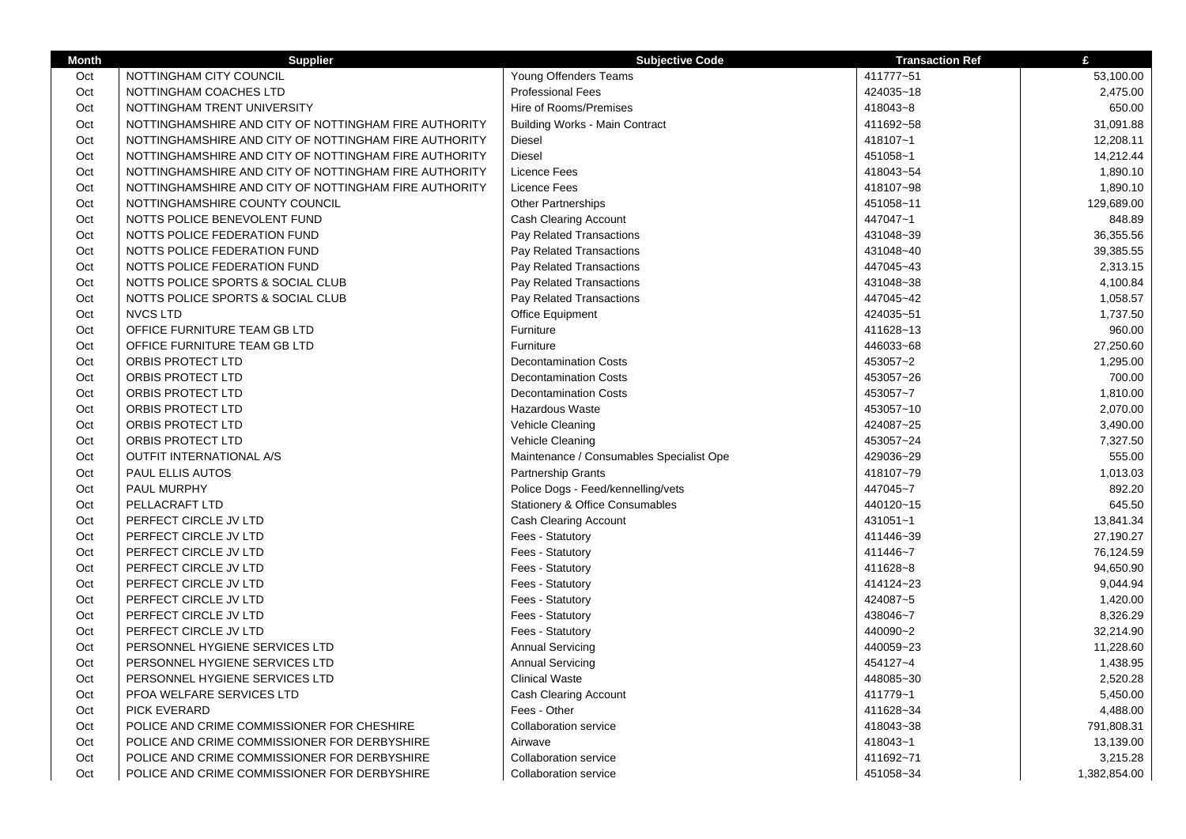| <b>Month</b> | <b>Supplier</b>                                       | <b>Subjective Code</b>                   | <b>Transaction Ref</b> | £            |
|--------------|-------------------------------------------------------|------------------------------------------|------------------------|--------------|
| Oct          | NOTTINGHAM CITY COUNCIL                               | Young Offenders Teams                    | 411777~51              | 53,100.00    |
| Oct          | NOTTINGHAM COACHES LTD                                | <b>Professional Fees</b>                 | 424035~18              | 2,475.00     |
| Oct          | NOTTINGHAM TRENT UNIVERSITY                           | Hire of Rooms/Premises                   | 418043~8               | 650.00       |
| Oct          | NOTTINGHAMSHIRE AND CITY OF NOTTINGHAM FIRE AUTHORITY | <b>Building Works - Main Contract</b>    | 411692~58              | 31,091.88    |
| Oct          | NOTTINGHAMSHIRE AND CITY OF NOTTINGHAM FIRE AUTHORITY | Diesel                                   | 418107~1               | 12,208.11    |
| Oct          | NOTTINGHAMSHIRE AND CITY OF NOTTINGHAM FIRE AUTHORITY | <b>Diesel</b>                            | 451058~1               | 14,212.44    |
| Oct          | NOTTINGHAMSHIRE AND CITY OF NOTTINGHAM FIRE AUTHORITY | Licence Fees                             | 418043~54              | 1,890.10     |
| Oct          | NOTTINGHAMSHIRE AND CITY OF NOTTINGHAM FIRE AUTHORITY | Licence Fees                             | 418107~98              | 1,890.10     |
| Oct          | NOTTINGHAMSHIRE COUNTY COUNCIL                        | <b>Other Partnerships</b>                | 451058~11              | 129,689.00   |
| Oct          | NOTTS POLICE BENEVOLENT FUND                          | Cash Clearing Account                    | 447047~1               | 848.89       |
| Oct          | NOTTS POLICE FEDERATION FUND                          | Pay Related Transactions                 | 431048~39              | 36,355.56    |
| Oct          | NOTTS POLICE FEDERATION FUND                          | Pay Related Transactions                 | 431048~40              | 39,385.55    |
| Oct          | NOTTS POLICE FEDERATION FUND                          | Pay Related Transactions                 | 447045~43              | 2,313.15     |
| Oct          | NOTTS POLICE SPORTS & SOCIAL CLUB                     | Pay Related Transactions                 | 431048~38              | 4,100.84     |
| Oct          | NOTTS POLICE SPORTS & SOCIAL CLUB                     | Pay Related Transactions                 | 447045~42              | 1,058.57     |
| Oct          | <b>NVCS LTD</b>                                       | <b>Office Equipment</b>                  | 424035~51              | 1,737.50     |
| Oct          | OFFICE FURNITURE TEAM GB LTD                          | Furniture                                | 411628~13              | 960.00       |
| Oct          | OFFICE FURNITURE TEAM GB LTD                          | Furniture                                | 446033~68              | 27,250.60    |
| Oct          | ORBIS PROTECT LTD                                     | <b>Decontamination Costs</b>             | 453057~2               | 1,295.00     |
| Oct          | ORBIS PROTECT LTD                                     | <b>Decontamination Costs</b>             | 453057~26              | 700.00       |
| Oct          | ORBIS PROTECT LTD                                     | <b>Decontamination Costs</b>             | 453057~7               | 1,810.00     |
| Oct          | ORBIS PROTECT LTD                                     | <b>Hazardous Waste</b>                   | 453057~10              | 2,070.00     |
| Oct          | ORBIS PROTECT LTD                                     | Vehicle Cleaning                         | 424087~25              | 3,490.00     |
| Oct          | ORBIS PROTECT LTD                                     | Vehicle Cleaning                         | 453057~24              | 7,327.50     |
| Oct          | <b>OUTFIT INTERNATIONAL A/S</b>                       | Maintenance / Consumables Specialist Ope | 429036~29              | 555.00       |
| Oct          | PAUL ELLIS AUTOS                                      | Partnership Grants                       | 418107~79              | 1,013.03     |
| Oct          | PAUL MURPHY                                           | Police Dogs - Feed/kennelling/vets       | 447045~7               | 892.20       |
| Oct          | PELLACRAFT LTD                                        | Stationery & Office Consumables          | 440120~15              | 645.50       |
| Oct          | PERFECT CIRCLE JV LTD                                 | Cash Clearing Account                    | 431051~1               | 13,841.34    |
| Oct          | PERFECT CIRCLE JV LTD                                 | Fees - Statutory                         | 411446~39              | 27,190.27    |
| Oct          | PERFECT CIRCLE JV LTD                                 | Fees - Statutory                         | 411446~7               | 76,124.59    |
| Oct          | PERFECT CIRCLE JV LTD                                 | Fees - Statutory                         | 411628~8               | 94,650.90    |
| Oct          | PERFECT CIRCLE JV LTD                                 | Fees - Statutory                         | 414124~23              | 9,044.94     |
| Oct          | PERFECT CIRCLE JV LTD                                 | Fees - Statutory                         | 424087~5               | 1,420.00     |
| Oct          | PERFECT CIRCLE JV LTD                                 | Fees - Statutory                         | 438046~7               | 8,326.29     |
| Oct          | PERFECT CIRCLE JV LTD                                 | Fees - Statutory                         | 440090~2               | 32,214.90    |
| Oct          | PERSONNEL HYGIENE SERVICES LTD                        | <b>Annual Servicing</b>                  | 440059~23              | 11,228.60    |
| Oct          | PERSONNEL HYGIENE SERVICES LTD                        | <b>Annual Servicing</b>                  | 454127~4               | 1,438.95     |
| Oct          | PERSONNEL HYGIENE SERVICES LTD                        | <b>Clinical Waste</b>                    | 448085~30              | 2,520.28     |
| Oct          | PFOA WELFARE SERVICES LTD                             | Cash Clearing Account                    | 411779~1               | 5,450.00     |
| Oct          | <b>PICK EVERARD</b>                                   | Fees - Other                             | 411628~34              | 4,488.00     |
| Oct          | POLICE AND CRIME COMMISSIONER FOR CHESHIRE            | <b>Collaboration service</b>             | 418043~38              | 791,808.31   |
| Oct          | POLICE AND CRIME COMMISSIONER FOR DERBYSHIRE          | Airwave                                  | 418043~1               | 13,139.00    |
| Oct          | POLICE AND CRIME COMMISSIONER FOR DERBYSHIRE          | <b>Collaboration service</b>             | 411692~71              | 3,215.28     |
| Oct          | POLICE AND CRIME COMMISSIONER FOR DERBYSHIRE          | <b>Collaboration service</b>             | 451058~34              | 1,382,854.00 |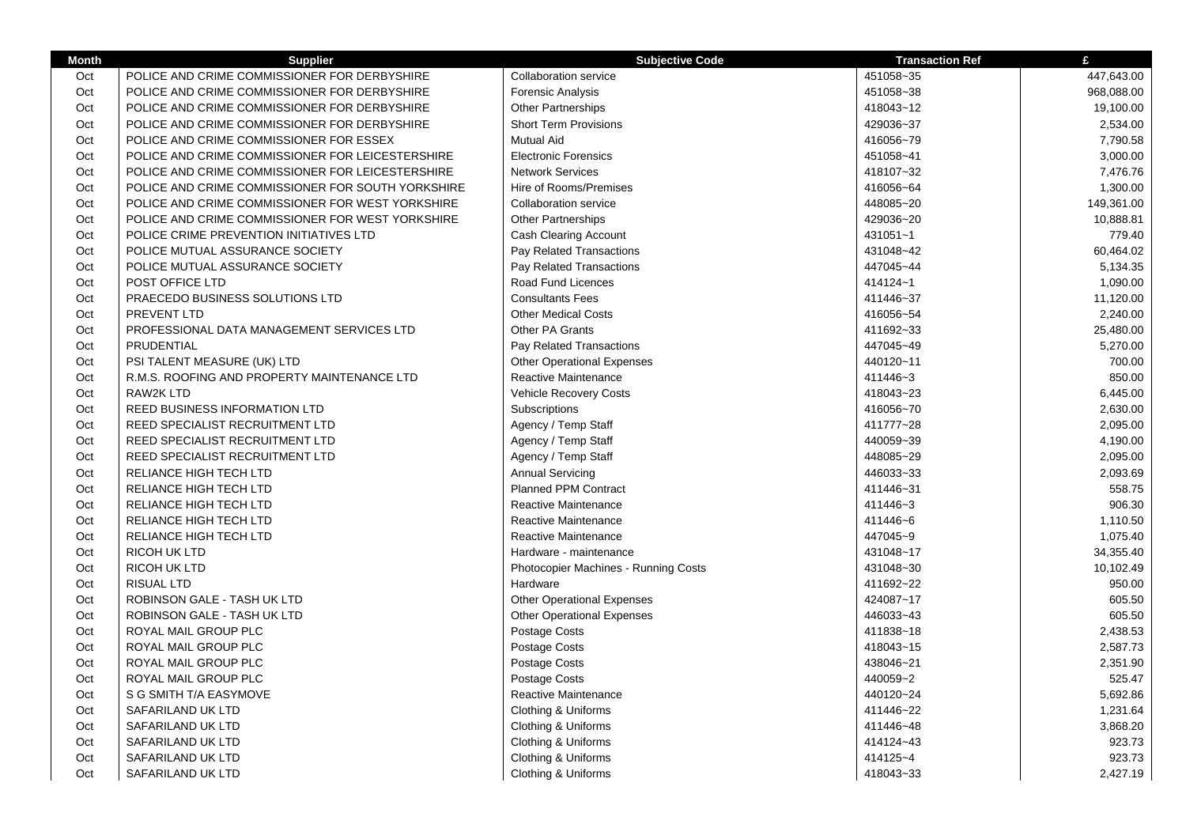| <b>Month</b> | <b>Supplier</b>                                   | <b>Subjective Code</b>               | <b>Transaction Ref</b> | £          |
|--------------|---------------------------------------------------|--------------------------------------|------------------------|------------|
| Oct          | POLICE AND CRIME COMMISSIONER FOR DERBYSHIRE      | Collaboration service                | 451058~35              | 447,643.00 |
| Oct          | POLICE AND CRIME COMMISSIONER FOR DERBYSHIRE      | <b>Forensic Analysis</b>             | 451058~38              | 968,088.00 |
| Oct          | POLICE AND CRIME COMMISSIONER FOR DERBYSHIRE      | <b>Other Partnerships</b>            | 418043~12              | 19,100.00  |
| Oct          | POLICE AND CRIME COMMISSIONER FOR DERBYSHIRE      | <b>Short Term Provisions</b>         | 429036~37              | 2,534.00   |
| Oct          | POLICE AND CRIME COMMISSIONER FOR ESSEX           | <b>Mutual Aid</b>                    | 416056~79              | 7,790.58   |
| Oct          | POLICE AND CRIME COMMISSIONER FOR LEICESTERSHIRE  | <b>Electronic Forensics</b>          | 451058~41              | 3,000.00   |
| Oct          | POLICE AND CRIME COMMISSIONER FOR LEICESTERSHIRE  | <b>Network Services</b>              | 418107~32              | 7,476.76   |
| Oct          | POLICE AND CRIME COMMISSIONER FOR SOUTH YORKSHIRE | Hire of Rooms/Premises               | 416056~64              | 1,300.00   |
| Oct          | POLICE AND CRIME COMMISSIONER FOR WEST YORKSHIRE  | <b>Collaboration service</b>         | 448085~20              | 149,361.00 |
| Oct          | POLICE AND CRIME COMMISSIONER FOR WEST YORKSHIRE  | <b>Other Partnerships</b>            | 429036~20              | 10,888.81  |
| Oct          | POLICE CRIME PREVENTION INITIATIVES LTD           | Cash Clearing Account                | 431051~1               | 779.40     |
| Oct          | POLICE MUTUAL ASSURANCE SOCIETY                   | Pay Related Transactions             | 431048~42              | 60,464.02  |
| Oct          | POLICE MUTUAL ASSURANCE SOCIETY                   | Pay Related Transactions             | 447045~44              | 5,134.35   |
| Oct          | POST OFFICE LTD                                   | Road Fund Licences                   | 414124~1               | 1,090.00   |
| Oct          | PRAECEDO BUSINESS SOLUTIONS LTD                   | <b>Consultants Fees</b>              | 411446~37              | 11,120.00  |
| Oct          | PREVENT LTD                                       | <b>Other Medical Costs</b>           | 416056~54              | 2,240.00   |
| Oct          | PROFESSIONAL DATA MANAGEMENT SERVICES LTD         | Other PA Grants                      | 411692~33              | 25,480.00  |
| Oct          | PRUDENTIAL                                        | Pay Related Transactions             | 447045~49              | 5,270.00   |
| Oct          | PSI TALENT MEASURE (UK) LTD                       | <b>Other Operational Expenses</b>    | 440120~11              | 700.00     |
| Oct          | R.M.S. ROOFING AND PROPERTY MAINTENANCE LTD       | Reactive Maintenance                 | 411446~3               | 850.00     |
| Oct          | <b>RAW2K LTD</b>                                  | <b>Vehicle Recovery Costs</b>        | 418043~23              | 6,445.00   |
| Oct          | <b>REED BUSINESS INFORMATION LTD</b>              | Subscriptions                        | 416056~70              | 2,630.00   |
| Oct          | REED SPECIALIST RECRUITMENT LTD                   | Agency / Temp Staff                  | 411777~28              | 2,095.00   |
| Oct          | REED SPECIALIST RECRUITMENT LTD                   | Agency / Temp Staff                  | 440059~39              | 4,190.00   |
| Oct          | REED SPECIALIST RECRUITMENT LTD                   | Agency / Temp Staff                  | 448085~29              | 2,095.00   |
| Oct          | RELIANCE HIGH TECH LTD                            | <b>Annual Servicing</b>              | 446033~33              | 2,093.69   |
| Oct          | RELIANCE HIGH TECH LTD                            | Planned PPM Contract                 | 411446~31              | 558.75     |
| Oct          | RELIANCE HIGH TECH LTD                            | Reactive Maintenance                 | 411446~3               | 906.30     |
| Oct          | RELIANCE HIGH TECH LTD                            | Reactive Maintenance                 | 411446~6               | 1,110.50   |
| Oct          | RELIANCE HIGH TECH LTD                            | Reactive Maintenance                 | 447045~9               | 1,075.40   |
| Oct          | <b>RICOH UK LTD</b>                               | Hardware - maintenance               | 431048~17              | 34,355.40  |
| Oct          | <b>RICOH UK LTD</b>                               | Photocopier Machines - Running Costs | 431048~30              | 10,102.49  |
| Oct          | <b>RISUAL LTD</b>                                 | Hardware                             | 411692~22              | 950.00     |
| Oct          | ROBINSON GALE - TASH UK LTD                       | <b>Other Operational Expenses</b>    | 424087~17              | 605.50     |
| Oct          | ROBINSON GALE - TASH UK LTD                       | <b>Other Operational Expenses</b>    | 446033~43              | 605.50     |
| Oct          | ROYAL MAIL GROUP PLC                              | Postage Costs                        | 411838~18              | 2,438.53   |
| Oct          | ROYAL MAIL GROUP PLC                              | Postage Costs                        | 418043~15              | 2,587.73   |
| Oct          | ROYAL MAIL GROUP PLC                              | Postage Costs                        | 438046~21              | 2,351.90   |
| Oct          | ROYAL MAIL GROUP PLC                              | Postage Costs                        | 440059~2               | 525.47     |
| Oct          | S G SMITH T/A EASYMOVE                            | Reactive Maintenance                 | 440120~24              | 5,692.86   |
| Oct          | SAFARILAND UK LTD                                 | Clothing & Uniforms                  | 411446~22              | 1,231.64   |
| Oct          | SAFARILAND UK LTD                                 | Clothing & Uniforms                  | 411446~48              | 3,868.20   |
| Oct          | SAFARILAND UK LTD                                 | Clothing & Uniforms                  | 414124~43              | 923.73     |
| Oct          | SAFARILAND UK LTD                                 | Clothing & Uniforms                  | 414125~4               | 923.73     |
| Oct          | SAFARILAND UK LTD                                 | Clothing & Uniforms                  | 418043~33              | 2,427.19   |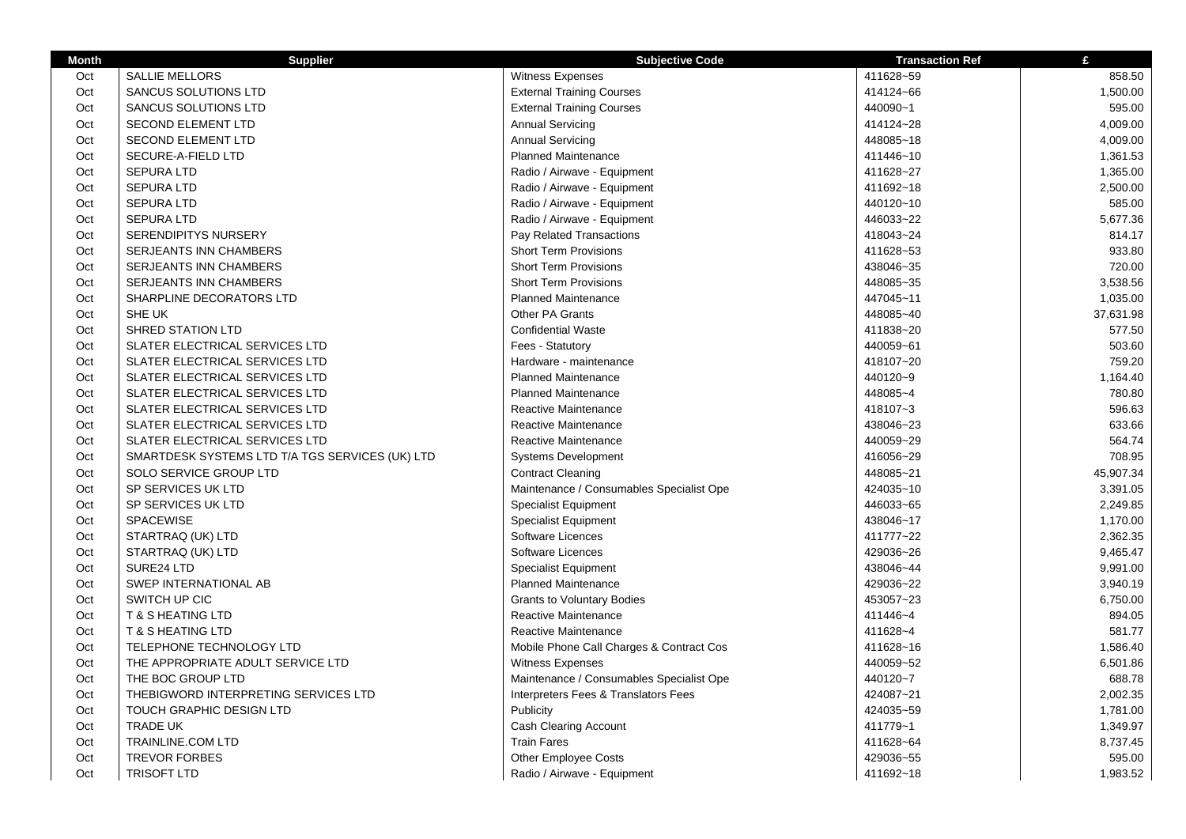| <b>Month</b> | <b>Supplier</b>                                 | <b>Subjective Code</b>                   | <b>Transaction Ref</b> | £         |
|--------------|-------------------------------------------------|------------------------------------------|------------------------|-----------|
| Oct          | <b>SALLIE MELLORS</b>                           | Witness Expenses                         | 411628~59              | 858.50    |
| Oct          | <b>SANCUS SOLUTIONS LTD</b>                     | <b>External Training Courses</b>         | 414124~66              | 1,500.00  |
| Oct          | SANCUS SOLUTIONS LTD                            | <b>External Training Courses</b>         | 440090~1               | 595.00    |
| Oct          | <b>SECOND ELEMENT LTD</b>                       | <b>Annual Servicing</b>                  | 414124~28              | 4,009.00  |
| Oct          | SECOND ELEMENT LTD                              | <b>Annual Servicing</b>                  | 448085~18              | 4,009.00  |
| Oct          | SECURE-A-FIELD LTD                              | Planned Maintenance                      | 411446~10              | 1,361.53  |
| Oct          | SEPURA LTD                                      | Radio / Airwave - Equipment              | 411628~27              | 1,365.00  |
| Oct          | <b>SEPURA LTD</b>                               | Radio / Airwave - Equipment              | 411692~18              | 2,500.00  |
| Oct          | <b>SEPURA LTD</b>                               | Radio / Airwave - Equipment              | 440120~10              | 585.00    |
| Oct          | <b>SEPURA LTD</b>                               | Radio / Airwave - Equipment              | 446033~22              | 5,677.36  |
| Oct          | <b>SERENDIPITYS NURSERY</b>                     | Pay Related Transactions                 | 418043~24              | 814.17    |
| Oct          | SERJEANTS INN CHAMBERS                          | <b>Short Term Provisions</b>             | 411628~53              | 933.80    |
| Oct          | SERJEANTS INN CHAMBERS                          | <b>Short Term Provisions</b>             | 438046~35              | 720.00    |
| Oct          | SERJEANTS INN CHAMBERS                          | <b>Short Term Provisions</b>             | 448085~35              | 3,538.56  |
| Oct          | SHARPLINE DECORATORS LTD                        | <b>Planned Maintenance</b>               | 447045~11              | 1,035.00  |
| Oct          | SHE UK                                          | Other PA Grants                          | 448085~40              | 37,631.98 |
| Oct          | <b>SHRED STATION LTD</b>                        | <b>Confidential Waste</b>                | 411838~20              | 577.50    |
| Oct          | SLATER ELECTRICAL SERVICES LTD                  | Fees - Statutory                         | 440059~61              | 503.60    |
| Oct          | SLATER ELECTRICAL SERVICES LTD                  | Hardware - maintenance                   | 418107~20              | 759.20    |
| Oct          | SLATER ELECTRICAL SERVICES LTD                  | <b>Planned Maintenance</b>               | 440120~9               | 1,164.40  |
| Oct          | SLATER ELECTRICAL SERVICES LTD                  | <b>Planned Maintenance</b>               | 448085~4               | 780.80    |
| Oct          | SLATER ELECTRICAL SERVICES LTD                  | Reactive Maintenance                     | 418107~3               | 596.63    |
| Oct          | SLATER ELECTRICAL SERVICES LTD                  | Reactive Maintenance                     | 438046~23              | 633.66    |
| Oct          | SLATER ELECTRICAL SERVICES LTD                  | <b>Reactive Maintenance</b>              | 440059~29              | 564.74    |
| Oct          | SMARTDESK SYSTEMS LTD T/A TGS SERVICES (UK) LTD | <b>Systems Development</b>               | 416056~29              | 708.95    |
| Oct          | SOLO SERVICE GROUP LTD                          | <b>Contract Cleaning</b>                 | 448085~21              | 45,907.34 |
| Oct          | SP SERVICES UK LTD                              | Maintenance / Consumables Specialist Ope | 424035~10              | 3,391.05  |
| Oct          | SP SERVICES UK LTD                              | <b>Specialist Equipment</b>              | 446033~65              | 2,249.85  |
| Oct          | <b>SPACEWISE</b>                                | <b>Specialist Equipment</b>              | 438046~17              | 1,170.00  |
| Oct          | STARTRAQ (UK) LTD                               | Software Licences                        | 411777~22              | 2,362.35  |
| Oct          | STARTRAQ (UK) LTD                               | Software Licences                        | 429036~26              | 9,465.47  |
| Oct          | SURE24 LTD                                      | <b>Specialist Equipment</b>              | 438046~44              | 9,991.00  |
| Oct          | SWEP INTERNATIONAL AB                           | <b>Planned Maintenance</b>               | 429036~22              | 3,940.19  |
| Oct          | SWITCH UP CIC                                   | <b>Grants to Voluntary Bodies</b>        | 453057~23              | 6,750.00  |
| Oct          | <b>T &amp; S HEATING LTD</b>                    | Reactive Maintenance                     | 411446~4               | 894.05    |
| Oct          | <b>T &amp; S HEATING LTD</b>                    | Reactive Maintenance                     | 411628~4               | 581.77    |
| Oct          | TELEPHONE TECHNOLOGY LTD                        | Mobile Phone Call Charges & Contract Cos | 411628~16              | 1,586.40  |
| Oct          | THE APPROPRIATE ADULT SERVICE LTD               | Witness Expenses                         | 440059~52              | 6,501.86  |
| Oct          | THE BOC GROUP LTD                               | Maintenance / Consumables Specialist Ope | 440120~7               | 688.78    |
| Oct          | THEBIGWORD INTERPRETING SERVICES LTD            | Interpreters Fees & Translators Fees     | 424087~21              | 2,002.35  |
| Oct          | TOUCH GRAPHIC DESIGN LTD                        | Publicity                                | 424035~59              | 1,781.00  |
| Oct          | <b>TRADE UK</b>                                 | <b>Cash Clearing Account</b>             | 411779~1               | 1,349.97  |
| Oct          | <b>TRAINLINE.COM LTD</b>                        | <b>Train Fares</b>                       | 411628~64              | 8,737.45  |
| Oct          | <b>TREVOR FORBES</b>                            | <b>Other Employee Costs</b>              | 429036~55              | 595.00    |
| Oct          | <b>TRISOFT LTD</b>                              | Radio / Airwave - Equipment              | 411692~18              | 1,983.52  |